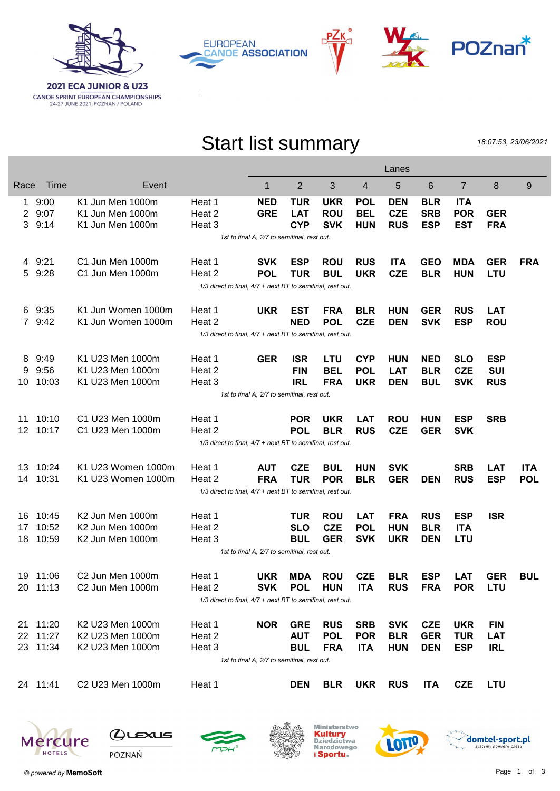







## Start list summary

18:07:53, 23/06/2021

|                                             |                                                                |                              | Lanes                                                      |            |            |            |            |            |            |                |            |            |
|---------------------------------------------|----------------------------------------------------------------|------------------------------|------------------------------------------------------------|------------|------------|------------|------------|------------|------------|----------------|------------|------------|
| Race                                        | Time                                                           | Event                        |                                                            | 1          | 2          | 3          | 4          | 5          | 6          | $\overline{7}$ | 8          | 9          |
| $\mathbf{1}$                                | 9:00                                                           | K1 Jun Men 1000m             | Heat 1                                                     | <b>NED</b> | <b>TUR</b> | <b>UKR</b> | <b>POL</b> | <b>DEN</b> | <b>BLR</b> | <b>ITA</b>     |            |            |
| 2                                           | 9:07                                                           | K1 Jun Men 1000m             | Heat 2                                                     | <b>GRE</b> | <b>LAT</b> | <b>ROU</b> | <b>BEL</b> | <b>CZE</b> | <b>SRB</b> | <b>POR</b>     | <b>GER</b> |            |
| 3                                           | 9:14                                                           | K1 Jun Men 1000m             | Heat 3                                                     |            | <b>CYP</b> | <b>SVK</b> | <b>HUN</b> | <b>RUS</b> | <b>ESP</b> | <b>EST</b>     | <b>FRA</b> |            |
|                                             | 1st to final A, 2/7 to semifinal, rest out.                    |                              |                                                            |            |            |            |            |            |            |                |            |            |
|                                             | 4 9:21                                                         | C1 Jun Men 1000m             | Heat 1                                                     | <b>SVK</b> | <b>ESP</b> | <b>ROU</b> | <b>RUS</b> | <b>ITA</b> | <b>GEO</b> | <b>MDA</b>     | <b>GER</b> | <b>FRA</b> |
| 5                                           | 9:28                                                           | C1 Jun Men 1000m             | Heat 2                                                     | <b>POL</b> | <b>TUR</b> | <b>BUL</b> | <b>UKR</b> | <b>CZE</b> | <b>BLR</b> | <b>HUN</b>     | <b>LTU</b> |            |
|                                             | 1/3 direct to final, 4/7 + next BT to semifinal, rest out.     |                              |                                                            |            |            |            |            |            |            |                |            |            |
| 6                                           | 9:35                                                           | K1 Jun Women 1000m           | Heat 1                                                     | <b>UKR</b> | <b>EST</b> | <b>FRA</b> | <b>BLR</b> | <b>HUN</b> | <b>GER</b> | <b>RUS</b>     | <b>LAT</b> |            |
|                                             | 7 9:42                                                         | K1 Jun Women 1000m           | Heat 2                                                     |            | <b>NED</b> | <b>POL</b> | <b>CZE</b> | <b>DEN</b> | <b>SVK</b> | <b>ESP</b>     | <b>ROU</b> |            |
|                                             | 1/3 direct to final, 4/7 + next BT to semifinal, rest out.     |                              |                                                            |            |            |            |            |            |            |                |            |            |
| 8                                           | 9:49                                                           | K1 U23 Men 1000m             | Heat 1                                                     | <b>GER</b> | <b>ISR</b> | <b>LTU</b> | <b>CYP</b> | <b>HUN</b> | <b>NED</b> | <b>SLO</b>     | <b>ESP</b> |            |
| 9                                           | 9:56                                                           | K1 U23 Men 1000m             | Heat 2                                                     |            | <b>FIN</b> | <b>BEL</b> | <b>POL</b> | <b>LAT</b> | <b>BLR</b> | <b>CZE</b>     | <b>SUI</b> |            |
| 10                                          | 10:03                                                          | K1 U23 Men 1000m             | Heat 3                                                     |            | <b>IRL</b> | <b>FRA</b> | <b>UKR</b> | <b>DEN</b> | <b>BUL</b> | <b>SVK</b>     | <b>RUS</b> |            |
|                                             | 1st to final A, 2/7 to semifinal, rest out.                    |                              |                                                            |            |            |            |            |            |            |                |            |            |
| 11                                          | 10:10                                                          | C1 U23 Men 1000m             | Heat 1                                                     |            | <b>POR</b> | <b>UKR</b> | <b>LAT</b> | <b>ROU</b> | <b>HUN</b> | <b>ESP</b>     | <b>SRB</b> |            |
| 12                                          | 10:17                                                          | C1 U23 Men 1000m             | Heat 2                                                     |            | <b>POL</b> | <b>BLR</b> | <b>RUS</b> | <b>CZE</b> | <b>GER</b> | <b>SVK</b>     |            |            |
|                                             |                                                                |                              | 1/3 direct to final, 4/7 + next BT to semifinal, rest out. |            |            |            |            |            |            |                |            |            |
| 13                                          | 10:24                                                          | K1 U23 Women 1000m           | Heat 1                                                     | <b>AUT</b> | <b>CZE</b> | <b>BUL</b> | <b>HUN</b> | <b>SVK</b> |            | <b>SRB</b>     | <b>LAT</b> | <b>ITA</b> |
| 14                                          | 10:31                                                          | K1 U23 Women 1000m           | Heat 2                                                     | <b>FRA</b> | <b>TUR</b> | <b>POR</b> | <b>BLR</b> | <b>GER</b> | <b>DEN</b> | <b>RUS</b>     | <b>ESP</b> | <b>POL</b> |
|                                             |                                                                |                              | 1/3 direct to final, 4/7 + next BT to semifinal, rest out. |            |            |            |            |            |            |                |            |            |
| 16                                          | 10:45                                                          | K2 Jun Men 1000m             | Heat 1                                                     |            | <b>TUR</b> | <b>ROU</b> | <b>LAT</b> | <b>FRA</b> | <b>RUS</b> | <b>ESP</b>     | <b>ISR</b> |            |
| 17                                          | 10:52                                                          | K2 Jun Men 1000m             | Heat 2                                                     |            | <b>SLO</b> | <b>CZE</b> | <b>POL</b> | <b>HUN</b> | <b>BLR</b> | <b>ITA</b>     |            |            |
| 18                                          | 10:59                                                          | K2 Jun Men 1000m             | Heat 3                                                     |            | <b>BUL</b> | <b>GER</b> | <b>SVK</b> | <b>UKR</b> | <b>DEN</b> | <b>LTU</b>     |            |            |
|                                             | 1st to final A, 2/7 to semifinal, rest out.                    |                              |                                                            |            |            |            |            |            |            |                |            |            |
|                                             | 19 11:06                                                       | C <sub>2</sub> Jun Men 1000m | Heat 1                                                     | <b>UKR</b> | <b>MDA</b> | <b>ROU</b> | <b>CZE</b> | <b>BLR</b> | <b>ESP</b> | <b>LAT</b>     | <b>GER</b> | <b>BUL</b> |
|                                             | 20 11:13                                                       | C2 Jun Men 1000m             | Heat 2                                                     | <b>SVK</b> | <b>POL</b> | <b>HUN</b> | <b>ITA</b> | <b>RUS</b> | <b>FRA</b> | <b>POR</b>     | LTU        |            |
|                                             | $1/3$ direct to final, $4/7$ + next BT to semifinal, rest out. |                              |                                                            |            |            |            |            |            |            |                |            |            |
|                                             | 21 11:20                                                       | K2 U23 Men 1000m             | Heat 1                                                     | <b>NOR</b> | <b>GRE</b> | <b>RUS</b> | <b>SRB</b> | <b>SVK</b> | <b>CZE</b> | <b>UKR</b>     | <b>FIN</b> |            |
| 22                                          | 11:27                                                          | K2 U23 Men 1000m             | Heat 2                                                     |            | <b>AUT</b> | <b>POL</b> | <b>POR</b> | <b>BLR</b> | <b>GER</b> | <b>TUR</b>     | <b>LAT</b> |            |
|                                             | 23 11:34                                                       | K2 U23 Men 1000m             | Heat 3                                                     |            | <b>BUL</b> | <b>FRA</b> | <b>ITA</b> | <b>HUN</b> | <b>DEN</b> | <b>ESP</b>     | <b>IRL</b> |            |
| 1st to final A, 2/7 to semifinal, rest out. |                                                                |                              |                                                            |            |            |            |            |            |            |                |            |            |
|                                             | 24 11:41                                                       | C2 U23 Men 1000m             | Heat 1                                                     |            | <b>DEN</b> | <b>BLR</b> | <b>UKR</b> | <b>RUS</b> | <b>ITA</b> | <b>CZE</b>     | <b>LTU</b> |            |









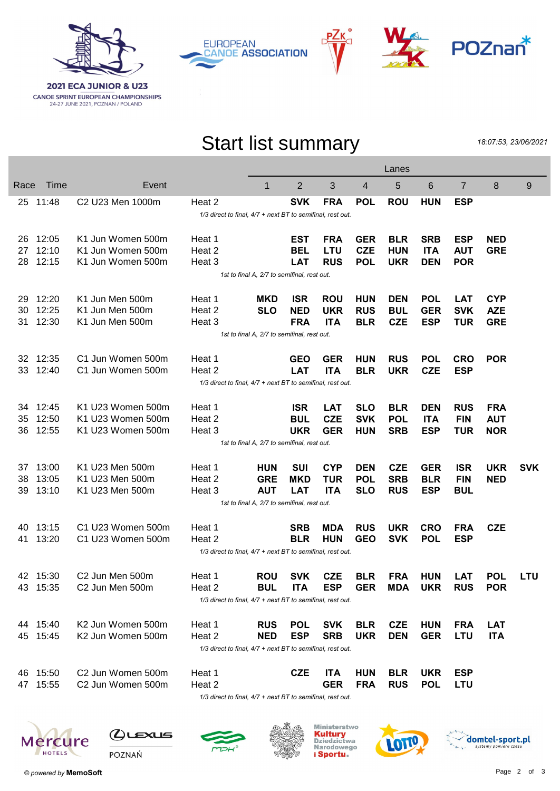

**CANOE SPRINT EUROPEAN CHAMPIONSHIPS**<br>24-27 JUNE 2021, POZNAN / POLAND







## Start list summary

18:07:53, 23/06/2021

|      |                                                            |                                          |                                                               |                                             |                |            |                | Lanes      |            |                |            |            |
|------|------------------------------------------------------------|------------------------------------------|---------------------------------------------------------------|---------------------------------------------|----------------|------------|----------------|------------|------------|----------------|------------|------------|
| Race | Time                                                       | Event                                    |                                                               | $\mathbf{1}$                                | $\overline{2}$ | 3          | $\overline{4}$ | 5          | 6          | $\overline{7}$ | 8          | 9          |
|      | 25 11:48                                                   | C <sub>2</sub> U <sub>23</sub> Men 1000m | Heat 2                                                        |                                             | <b>SVK</b>     | <b>FRA</b> | <b>POL</b>     | <b>ROU</b> | <b>HUN</b> | <b>ESP</b>     |            |            |
|      | 1/3 direct to final, 4/7 + next BT to semifinal, rest out. |                                          |                                                               |                                             |                |            |                |            |            |                |            |            |
| 26   | 12:05                                                      | K1 Jun Women 500m                        | Heat 1                                                        |                                             | <b>EST</b>     | <b>FRA</b> | <b>GER</b>     | <b>BLR</b> | <b>SRB</b> | <b>ESP</b>     | <b>NED</b> |            |
|      | 27 12:10                                                   | K1 Jun Women 500m                        | Heat 2                                                        |                                             | <b>BEL</b>     | <b>LTU</b> | <b>CZE</b>     | <b>HUN</b> | <b>ITA</b> | <b>AUT</b>     | <b>GRE</b> |            |
| 28   | 12:15                                                      | K1 Jun Women 500m                        | Heat 3                                                        |                                             | <b>LAT</b>     | <b>RUS</b> | <b>POL</b>     | <b>UKR</b> | <b>DEN</b> | <b>POR</b>     |            |            |
|      | 1st to final A, 2/7 to semifinal, rest out.                |                                          |                                                               |                                             |                |            |                |            |            |                |            |            |
| 29   | 12:20                                                      | K1 Jun Men 500m                          | Heat 1                                                        | <b>MKD</b>                                  | <b>ISR</b>     | <b>ROU</b> | <b>HUN</b>     | <b>DEN</b> | <b>POL</b> | <b>LAT</b>     | <b>CYP</b> |            |
| 30   | 12:25                                                      | K1 Jun Men 500m                          | Heat 2                                                        | <b>SLO</b>                                  | <b>NED</b>     | <b>UKR</b> | <b>RUS</b>     | <b>BUL</b> | <b>GER</b> | <b>SVK</b>     | <b>AZE</b> |            |
| 31   | 12:30                                                      | K1 Jun Men 500m                          | Heat 3                                                        |                                             | <b>FRA</b>     | <b>ITA</b> | <b>BLR</b>     | <b>CZE</b> | <b>ESP</b> | <b>TUR</b>     | <b>GRE</b> |            |
|      | 1st to final A, 2/7 to semifinal, rest out.                |                                          |                                                               |                                             |                |            |                |            |            |                |            |            |
| 32   | 12:35                                                      | C1 Jun Women 500m                        | Heat 1                                                        |                                             | <b>GEO</b>     | <b>GER</b> | <b>HUN</b>     | <b>RUS</b> | <b>POL</b> | <b>CRO</b>     | <b>POR</b> |            |
| 33   | 12:40                                                      | C1 Jun Women 500m                        | Heat 2                                                        |                                             | <b>LAT</b>     | <b>ITA</b> | <b>BLR</b>     | <b>UKR</b> | <b>CZE</b> | <b>ESP</b>     |            |            |
|      | 1/3 direct to final, 4/7 + next BT to semifinal, rest out. |                                          |                                                               |                                             |                |            |                |            |            |                |            |            |
| 34   | 12:45                                                      | K1 U23 Women 500m                        | Heat 1                                                        |                                             | <b>ISR</b>     | <b>LAT</b> | <b>SLO</b>     | <b>BLR</b> | <b>DEN</b> | <b>RUS</b>     | <b>FRA</b> |            |
| 35   | 12:50                                                      | K1 U23 Women 500m                        | Heat 2                                                        |                                             | <b>BUL</b>     | <b>CZE</b> | <b>SVK</b>     | <b>POL</b> | <b>ITA</b> | <b>FIN</b>     | <b>AUT</b> |            |
| 36   | 12:55                                                      | K1 U23 Women 500m                        | Heat 3                                                        |                                             | <b>UKR</b>     | <b>GER</b> | <b>HUN</b>     | <b>SRB</b> | <b>ESP</b> | <b>TUR</b>     | <b>NOR</b> |            |
|      |                                                            |                                          |                                                               | 1st to final A, 2/7 to semifinal, rest out. |                |            |                |            |            |                |            |            |
| 37   | 13:00                                                      | K1 U23 Men 500m                          | Heat 1                                                        | <b>HUN</b>                                  | <b>SUI</b>     | <b>CYP</b> | <b>DEN</b>     | <b>CZE</b> | <b>GER</b> | <b>ISR</b>     | <b>UKR</b> | <b>SVK</b> |
| 38   | 13:05                                                      | K1 U23 Men 500m                          | Heat 2                                                        | <b>GRE</b>                                  | <b>MKD</b>     | <b>TUR</b> | <b>POL</b>     | <b>SRB</b> | <b>BLR</b> | <b>FIN</b>     | <b>NED</b> |            |
| 39   | 13:10                                                      | K1 U23 Men 500m                          | Heat 3                                                        | <b>AUT</b>                                  | <b>LAT</b>     | <b>ITA</b> | <b>SLO</b>     | <b>RUS</b> | <b>ESP</b> | <b>BUL</b>     |            |            |
|      |                                                            |                                          |                                                               | 1st to final A, 2/7 to semifinal, rest out. |                |            |                |            |            |                |            |            |
| 40   | 13:15                                                      | C1 U23 Women 500m                        | Heat 1                                                        |                                             | <b>SRB</b>     | <b>MDA</b> | <b>RUS</b>     | <b>UKR</b> | <b>CRO</b> | <b>FRA</b>     | <b>CZE</b> |            |
| 41   | 13:20                                                      | C1 U23 Women 500m                        | Heat 2                                                        |                                             | <b>BLR</b>     | <b>HUN</b> | <b>GEO</b>     | <b>SVK</b> | <b>POL</b> | <b>ESP</b>     |            |            |
|      | 1/3 direct to final, 4/7 + next BT to semifinal, rest out. |                                          |                                                               |                                             |                |            |                |            |            |                |            |            |
| 42   | 15:30                                                      | C2 Jun Men 500m                          | Heat 1                                                        | <b>ROU</b>                                  | <b>SVK</b>     | <b>CZE</b> | <b>BLR</b>     | <b>FRA</b> | <b>HUN</b> | <b>LAT</b>     | <b>POL</b> | <b>LTU</b> |
|      | 43 15:35                                                   | C2 Jun Men 500m                          | Heat 2                                                        | <b>BUL</b>                                  | <b>ITA</b>     | <b>ESP</b> | <b>GER</b>     | MDA        | <b>UKR</b> | <b>RUS</b>     | <b>POR</b> |            |
|      |                                                            |                                          | 1/3 direct to final, 4/7 + next BT to semifinal, rest out.    |                                             |                |            |                |            |            |                |            |            |
|      | 44 15:40                                                   | K2 Jun Women 500m                        | Heat 1                                                        | <b>RUS</b>                                  | <b>POL</b>     | <b>SVK</b> | <b>BLR</b>     | <b>CZE</b> | <b>HUN</b> | <b>FRA</b>     | <b>LAT</b> |            |
|      | 45 15:45                                                   | K2 Jun Women 500m                        | Heat 2                                                        | <b>NED</b>                                  | <b>ESP</b>     | <b>SRB</b> | <b>UKR</b>     | <b>DEN</b> | <b>GER</b> | LTU            | <b>ITA</b> |            |
|      |                                                            |                                          | 1/3 direct to final, 4/7 + next BT to semifinal, rest out.    |                                             |                |            |                |            |            |                |            |            |
|      | 46 15:50                                                   | C2 Jun Women 500m                        | Heat 1                                                        |                                             | <b>CZE</b>     | <b>ITA</b> | <b>HUN</b>     | <b>BLR</b> | <b>UKR</b> | <b>ESP</b>     |            |            |
|      | 47 15:55                                                   | C2 Jun Women 500m                        | Heat 2                                                        |                                             |                | <b>GER</b> | <b>FRA</b>     | <b>RUS</b> | <b>POL</b> | <b>LTU</b>     |            |            |
|      |                                                            |                                          | $1/2$ direct to final $1/7$ + next $PT$ to cemifinal rest out |                                             |                |            |                |            |            |                |            |            |

 $1/3$  direct to final,  $4/7$  + next BT to semifinal, rest out.